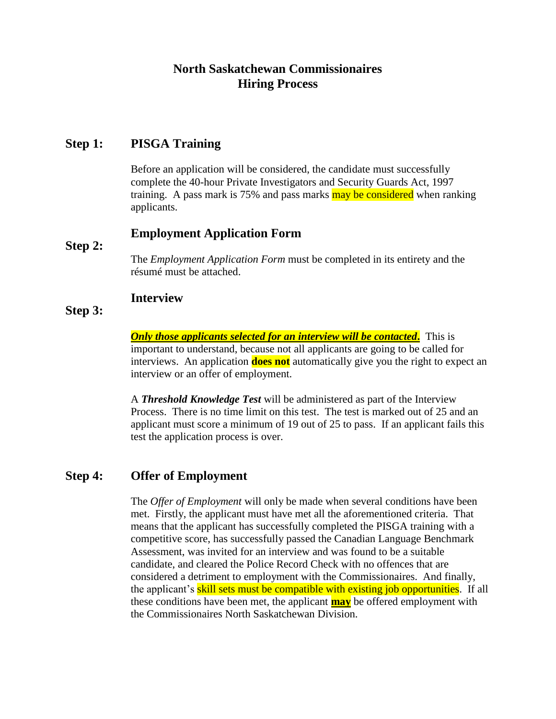# **North Saskatchewan Commissionaires Hiring Process**

#### **Step 1: PISGA Training**

Before an application will be considered, the candidate must successfully complete the 40-hour Private Investigators and Security Guards Act, 1997 training. A pass mark is 75% and pass marks may be considered when ranking applicants.

#### **Employment Application Form**

#### **Step 2:**

The *Employment Application Form* must be completed in its entirety and the résumé must be attached.

#### **Interview**

#### **Step 3:**

*Only those applicants selected for an interview will be contacted***.** This is important to understand, because not all applicants are going to be called for interviews. An application **does not** automatically give you the right to expect an interview or an offer of employment.

A *Threshold Knowledge Test* will be administered as part of the Interview Process. There is no time limit on this test. The test is marked out of 25 and an applicant must score a minimum of 19 out of 25 to pass. If an applicant fails this test the application process is over.

### **Step 4: Offer of Employment**

The *Offer of Employment* will only be made when several conditions have been met. Firstly, the applicant must have met all the aforementioned criteria. That means that the applicant has successfully completed the PISGA training with a competitive score, has successfully passed the Canadian Language Benchmark Assessment, was invited for an interview and was found to be a suitable candidate, and cleared the Police Record Check with no offences that are considered a detriment to employment with the Commissionaires. And finally, the applicant's **skill sets must be compatible with existing job opportunities**. If all these conditions have been met, the applicant **may** be offered employment with the Commissionaires North Saskatchewan Division.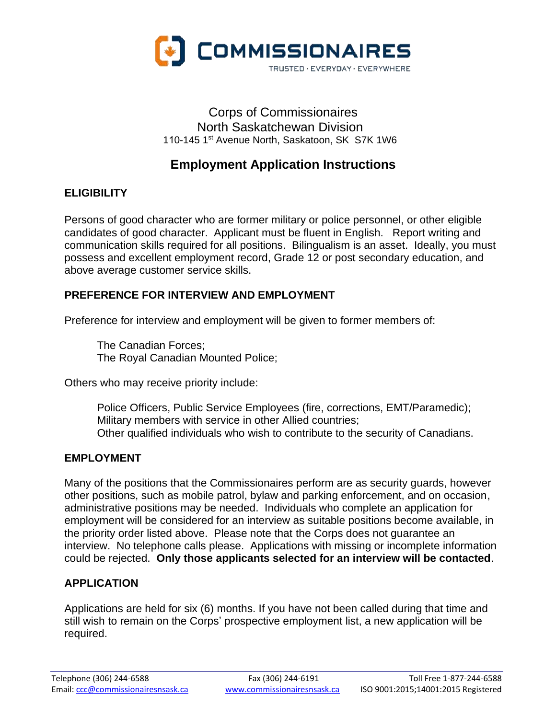

## Corps of Commissionaires North Saskatchewan Division 110-145 1st Avenue North, Saskatoon, SK S7K 1W6

# **Employment Application Instructions**

## **ELIGIBILITY**

Persons of good character who are former military or police personnel, or other eligible candidates of good character. Applicant must be fluent in English. Report writing and communication skills required for all positions. Bilingualism is an asset. Ideally, you must possess and excellent employment record, Grade 12 or post secondary education, and above average customer service skills.

### **PREFERENCE FOR INTERVIEW AND EMPLOYMENT**

Preference for interview and employment will be given to former members of:

The Canadian Forces; The Royal Canadian Mounted Police;

Others who may receive priority include:

Police Officers, Public Service Employees (fire, corrections, EMT/Paramedic); Military members with service in other Allied countries; Other qualified individuals who wish to contribute to the security of Canadians.

### **EMPLOYMENT**

Many of the positions that the Commissionaires perform are as security guards, however other positions, such as mobile patrol, bylaw and parking enforcement, and on occasion, administrative positions may be needed. Individuals who complete an application for employment will be considered for an interview as suitable positions become available, in the priority order listed above. Please note that the Corps does not guarantee an interview. No telephone calls please. Applications with missing or incomplete information could be rejected. **Only those applicants selected for an interview will be contacted**.

# **APPLICATION**

Applications are held for six (6) months. If you have not been called during that time and still wish to remain on the Corps' prospective employment list, a new application will be required.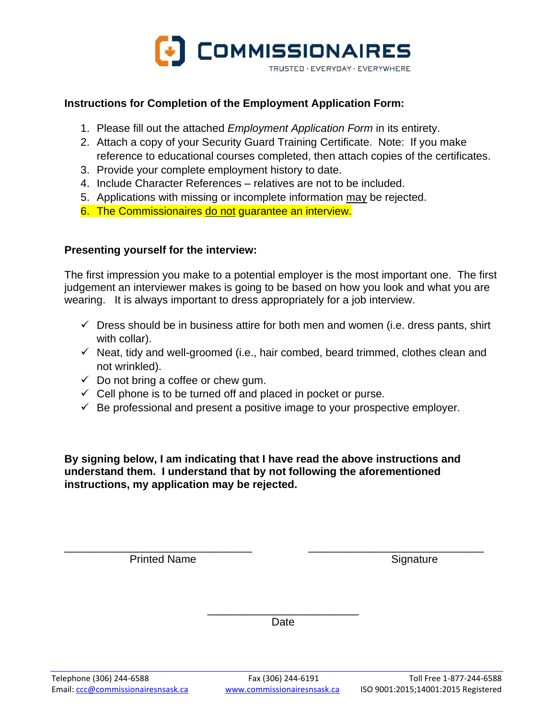

#### **Instructions for Completion of the Employment Application Form:**

- 1. Please fill out the attached *Employment Application Form* in its entirety.
- 2. Attach a copy of your Security Guard Training Certificate. Note: If you make reference to educational courses completed, then attach copies of the certificates.
- 3. Provide your complete employment history to date.
- 4. Include Character References relatives are not to be included.
- 5. Applications with missing or incomplete information may be rejected.
- 6. The Commissionaires do not guarantee an interview.

#### **Presenting yourself for the interview:**

The first impression you make to a potential employer is the most important one. The first judgement an interviewer makes is going to be based on how you look and what you are wearing. It is always important to dress appropriately for a job interview.

- $\checkmark$  Dress should be in business attire for both men and women (i.e. dress pants, shirt with collar).
- $\checkmark$  Neat, tidy and well-groomed (i.e., hair combed, beard trimmed, clothes clean and not wrinkled).
- $\checkmark$  Do not bring a coffee or chew gum.
- $\checkmark$  Cell phone is to be turned off and placed in pocket or purse.
- $\checkmark$  Be professional and present a positive image to your prospective employer.

**By signing below, I am indicating that I have read the above instructions and understand them. I understand that by not following the aforementioned instructions, my application may be rejected.**

\_\_\_\_\_\_\_\_\_\_\_\_\_\_\_\_\_\_\_\_\_\_\_\_\_\_\_\_\_\_\_ \_\_\_\_\_\_\_\_\_\_\_\_\_\_\_\_\_\_\_\_\_\_\_\_\_\_\_\_\_

Printed Name Signature

\_\_\_\_\_\_\_\_\_\_\_\_\_\_\_\_\_\_\_\_\_\_\_\_\_ Date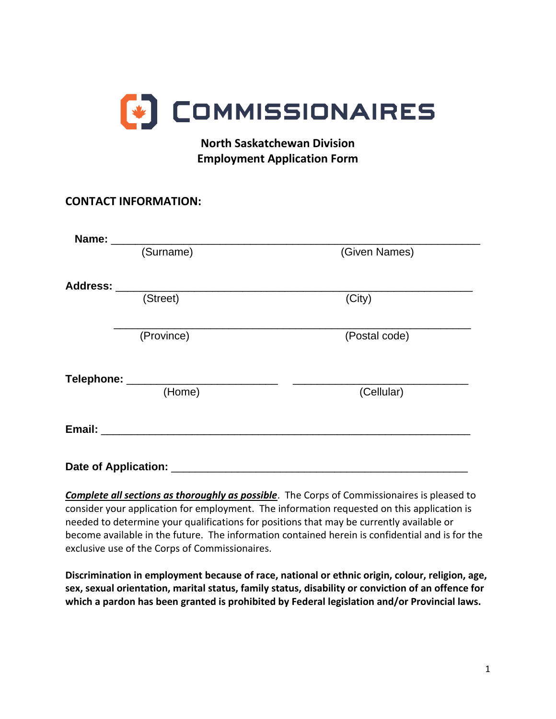

# **North Saskatchewan Division Employment Application Form**

# **CONTACT INFORMATION:**

| Name: ______                |                                 |               |
|-----------------------------|---------------------------------|---------------|
|                             | (Surname)                       | (Given Names) |
|                             |                                 |               |
|                             | (Street)                        | (City)        |
|                             | (Province)                      | (Postal code) |
|                             | Telephone: _________________    |               |
|                             | (Home)                          | (Cellular)    |
|                             | Email: Email: Albert March 2007 |               |
| <b>Date of Application:</b> |                                 |               |

*Complete all sections as thoroughly as possible*. The Corps of Commissionaires is pleased to consider your application for employment. The information requested on this application is needed to determine your qualifications for positions that may be currently available or become available in the future. The information contained herein is confidential and is for the exclusive use of the Corps of Commissionaires.

**Discrimination in employment because of race, national or ethnic origin, colour, religion, age, sex, sexual orientation, marital status, family status, disability or conviction of an offence for which a pardon has been granted is prohibited by Federal legislation and/or Provincial laws.**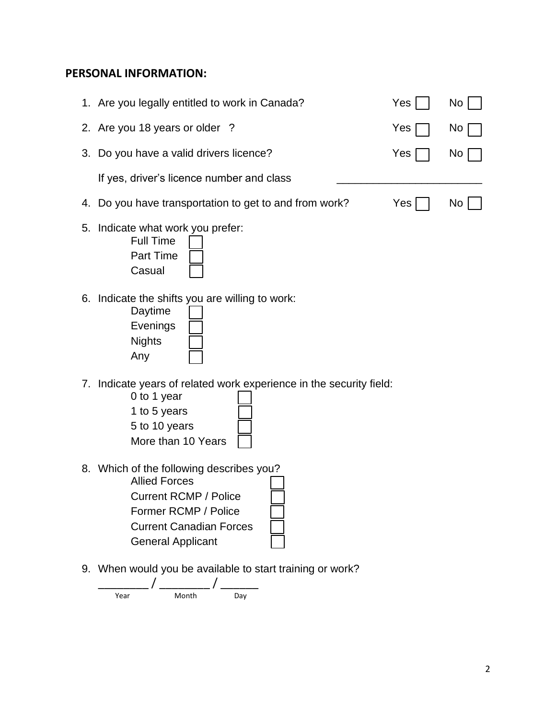#### **PERSONAL INFORMATION:**

|    | 1. Are you legally entitled to work in Canada?                                                                                            | Yes | No <sub>1</sub> |
|----|-------------------------------------------------------------------------------------------------------------------------------------------|-----|-----------------|
|    | 2. Are you 18 years or older ?                                                                                                            | Yes | No.             |
| 3. | Do you have a valid drivers licence?                                                                                                      | Yes | No.             |
|    | If yes, driver's licence number and class                                                                                                 |     |                 |
|    | 4. Do you have transportation to get to and from work?                                                                                    | Yes | No.             |
| 5. | Indicate what work you prefer:<br><b>Full Time</b><br><b>Part Time</b><br>Casual                                                          |     |                 |
|    | 6. Indicate the shifts you are willing to work:<br>Daytime<br>Evenings<br><b>Nights</b><br>Any                                            |     |                 |
|    | 7. Indicate years of related work experience in the security field:<br>0 to 1 year<br>1 to 5 years<br>5 to 10 years<br>More than 10 Years |     |                 |

- 8. Which of the following describes you? Allied Forces Current RCMP / Police Former RCMP / Police Current Canadian Forces General Applicant
- 9. When would you be available to start training or work?

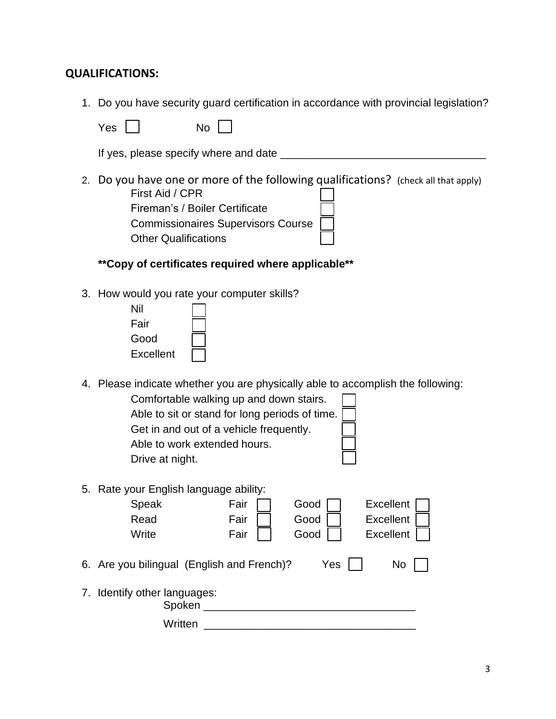### **QUALIFICATIONS:**

1. Do you have security guard certification in accordance with provincial legislation?

| Yes | No |
|-----|----|
|-----|----|

If yes, please specify where and date \_\_\_\_\_\_\_\_\_\_\_\_\_\_\_\_\_\_\_\_\_\_\_\_\_\_\_\_\_\_\_\_\_\_

- 2. Do you have one or more of the following qualifications? (check all that apply) First Aid / CPR Fireman's / Boiler Certificate Commissionaires Supervisors Course Other Qualifications
	- **\*\*Copy of certificates required where applicable\*\***
- 3. How would you rate your computer skills?

| Nil       |  |
|-----------|--|
| Fair      |  |
| Good      |  |
| Excellent |  |
|           |  |

4. Please indicate whether you are physically able to accomplish the following:

Comfortable walking up and down stairs. Able to sit or stand for long periods of time. Get in and out of a vehicle frequently. Able to work extended hours. Drive at night.

5. Rate your English language ability:

| o. Talo your Engrion ranguago ability.     |      |      |                  |  |
|--------------------------------------------|------|------|------------------|--|
| Speak                                      | Fair | Good | <b>Excellent</b> |  |
| Read                                       | Fair | Good | <b>Excellent</b> |  |
| Write                                      | Fair | Good | <b>Excellent</b> |  |
|                                            |      |      |                  |  |
| 6. Are you bilingual (English and French)? |      | Yes  | No               |  |
|                                            |      |      |                  |  |
| 7. Identify other languages:<br>Spoken     |      |      |                  |  |
|                                            |      |      |                  |  |
| Written                                    |      |      |                  |  |
|                                            |      |      |                  |  |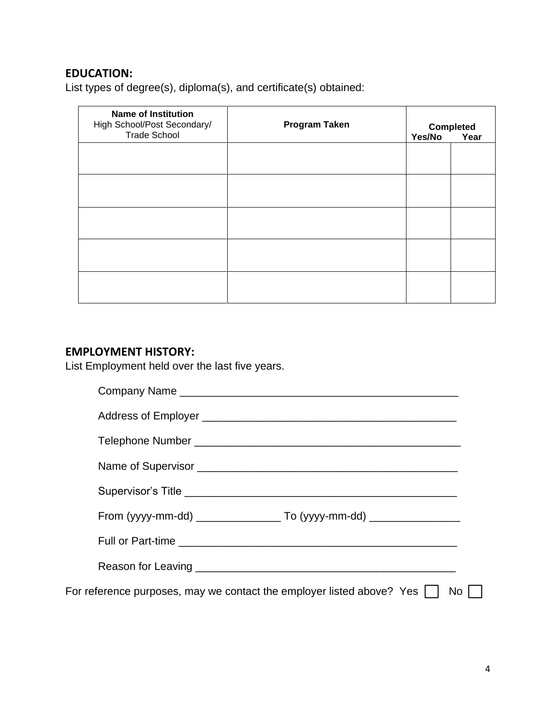# **EDUCATION:**

List types of degree(s), diploma(s), and certificate(s) obtained:

| <b>Name of Institution</b><br>High School/Post Secondary/<br><b>Trade School</b> | <b>Program Taken</b> | Yes/No | <b>Completed</b><br>Year |
|----------------------------------------------------------------------------------|----------------------|--------|--------------------------|
|                                                                                  |                      |        |                          |
|                                                                                  |                      |        |                          |
|                                                                                  |                      |        |                          |
|                                                                                  |                      |        |                          |
|                                                                                  |                      |        |                          |

# **EMPLOYMENT HISTORY:**

List Employment held over the last five years.

| For reference purposes, may we contact the employer listed above? Yes | No |
|-----------------------------------------------------------------------|----|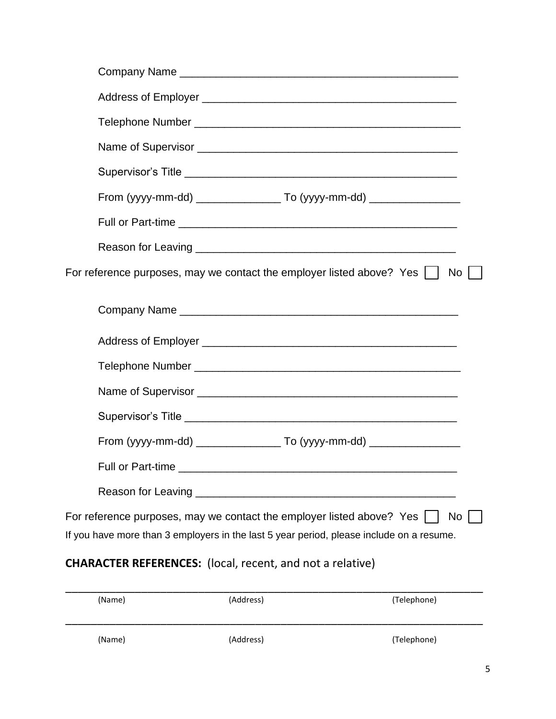|                                                                  |           | For reference purposes, may we contact the employer listed above? Yes $\lfloor \ \rfloor$                                                                           | No I        |  |
|------------------------------------------------------------------|-----------|---------------------------------------------------------------------------------------------------------------------------------------------------------------------|-------------|--|
|                                                                  |           |                                                                                                                                                                     |             |  |
|                                                                  |           |                                                                                                                                                                     |             |  |
|                                                                  |           |                                                                                                                                                                     |             |  |
|                                                                  |           |                                                                                                                                                                     |             |  |
|                                                                  |           |                                                                                                                                                                     |             |  |
|                                                                  |           |                                                                                                                                                                     |             |  |
|                                                                  |           |                                                                                                                                                                     |             |  |
| Reason for Leaving                                               |           |                                                                                                                                                                     |             |  |
|                                                                  |           | For reference purposes, may we contact the employer listed above? Yes  <br>If you have more than 3 employers in the last 5 year period, please include on a resume. | No.         |  |
| <b>CHARACTER REFERENCES:</b> (local, recent, and not a relative) |           |                                                                                                                                                                     |             |  |
| (Name)                                                           | (Address) |                                                                                                                                                                     | (Telephone) |  |

| (Name) | (Address) | (Telephone) |
|--------|-----------|-------------|
| (Name) | (Address) | (Telephone) |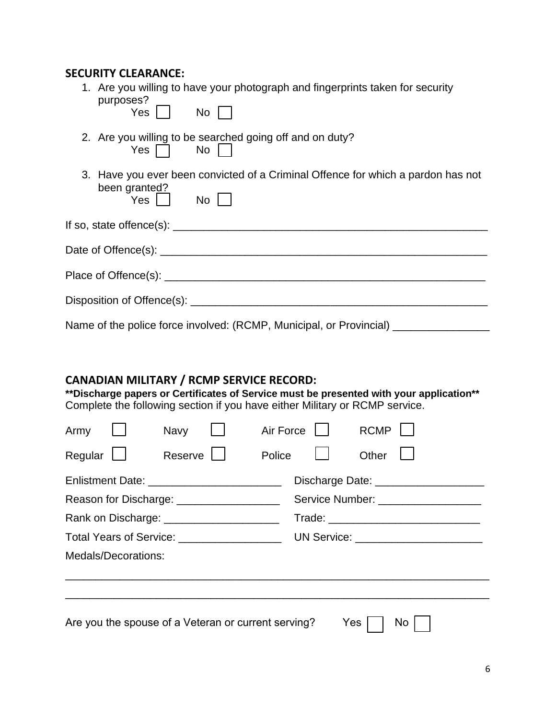#### **SECURITY CLEARANCE:**

| 1. Are you willing to have your photograph and fingerprints taken for security<br>purposes?                                |  |  |  |  |
|----------------------------------------------------------------------------------------------------------------------------|--|--|--|--|
| Yes No                                                                                                                     |  |  |  |  |
| 2. Are you willing to be searched going off and on duty?<br>$Yes \n\begin{array}{ccc}\n\bigcap & No & \big  \n\end{array}$ |  |  |  |  |
| 3. Have you ever been convicted of a Criminal Offence for which a pardon has not<br>been granted?                          |  |  |  |  |
| Yes   No                                                                                                                   |  |  |  |  |
|                                                                                                                            |  |  |  |  |
|                                                                                                                            |  |  |  |  |
|                                                                                                                            |  |  |  |  |
| Disposition of Offence(s): ___________________________________                                                             |  |  |  |  |
| Name of the police force involved: (RCMP, Municipal, or Provincial) ___________                                            |  |  |  |  |

### **CANADIAN MILITARY / RCMP SERVICE RECORD:**

**\*\*Discharge papers or Certificates of Service must be presented with your application\*\*** Complete the following section if you have either Military or RCMP service.

| Army    |                                                                                    | Navy    |  | Air Force |     | <b>RCMP</b> |                                       |
|---------|------------------------------------------------------------------------------------|---------|--|-----------|-----|-------------|---------------------------------------|
| Regular |                                                                                    | Reserve |  | Police    |     | Other       |                                       |
|         | Enlistment Date: ___________________________                                       |         |  |           |     |             | Discharge Date: _____________________ |
|         | Reason for Discharge: ___________________                                          |         |  |           |     |             | Service Number: ____________________  |
|         | Rank on Discharge: ________________________                                        |         |  |           |     |             |                                       |
|         | Total Years of Service: __________________<br>UN Service: ________________________ |         |  |           |     |             |                                       |
|         | Medals/Decorations:                                                                |         |  |           |     |             |                                       |
|         |                                                                                    |         |  |           |     |             |                                       |
|         | Are you the spouse of a Veteran or current serving?                                |         |  |           | Yes |             | No                                    |